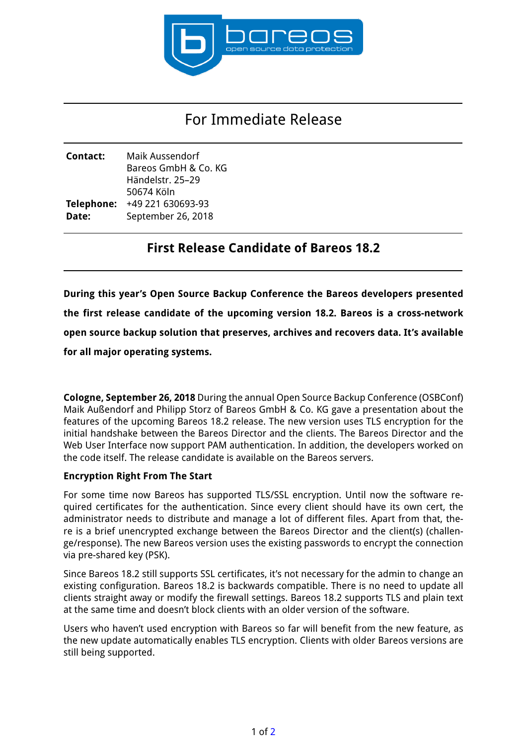

# For Immediate Release

| Contact:   | Maik Aussendorf      |
|------------|----------------------|
|            | Bareos GmbH & Co. KG |
|            | Händelstr. 25–29     |
|            | 50674 Köln           |
| Telephone: | +49 221 630693-93    |
| Date:      | September 26, 2018   |
|            |                      |

# **First Release Candidate of Bareos 18.2**

**During this year's Open Source Backup Conference the Bareos developers presented the first release candidate of the upcoming version 18.2. Bareos is a cross-network open source backup solution that preserves, archives and recovers data. It's available for all major operating systems.**

**Cologne, September 26, 2018** During the annual Open Source Backup Conference (OSBConf) Maik Außendorf and Philipp Storz of Bareos GmbH & Co. KG gave a presentation about the features of the upcoming Bareos 18.2 release. The new version uses TLS encryption for the initial handshake between the Bareos Director and the clients. The Bareos Director and the Web User Interface now support PAM authentication. In addition, the developers worked on the code itself. The release candidate is available on the Bareos servers.

# **Encryption Right From The Start**

For some time now Bareos has supported TLS/SSL encryption. Until now the software required certificates for the authentication. Since every client should have its own cert, the administrator needs to distribute and manage a lot of different files. Apart from that, there is a brief unencrypted exchange between the Bareos Director and the client(s) (challenge/response). The new Bareos version uses the existing passwords to encrypt the connection via pre-shared key (PSK).

Since Bareos 18.2 still supports SSL certificates, it's not necessary for the admin to change an existing configuration. Bareos 18.2 is backwards compatible. There is no need to update all clients straight away or modify the firewall settings. Bareos 18.2 supports TLS and plain text at the same time and doesn't block clients with an older version of the software.

Users who haven't used encryption with Bareos so far will benefit from the new feature, as the new update automatically enables TLS encryption. Clients with older Bareos versions are still being supported.